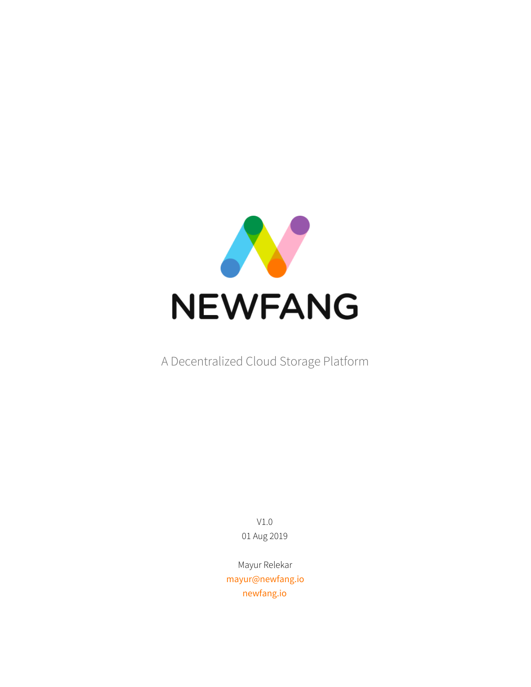

A Decentralized Cloud Storage Platform

V1.0 01 Aug 2019

Mayur Relekar [mayur@newfang.io](mailto:mayur@newfang.io) [newfang.io](https://newfang.io/)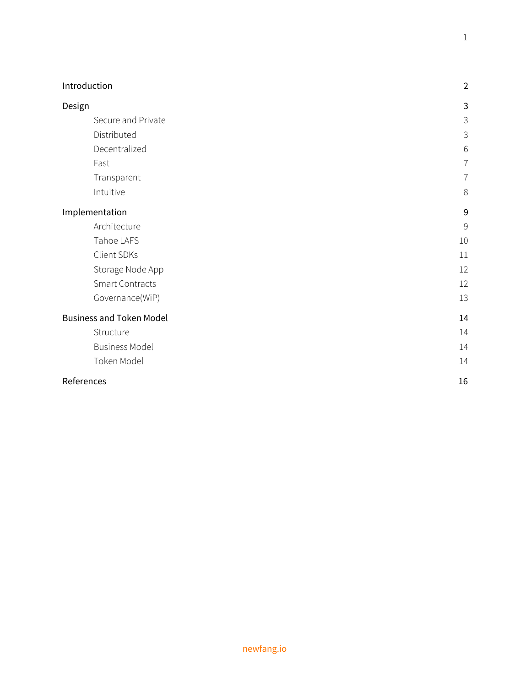| Introduction                    | $\overline{2}$ |
|---------------------------------|----------------|
| Design                          | 3              |
| Secure and Private              | 3              |
| Distributed                     | $\mathfrak{Z}$ |
| Decentralized                   | $6\,$          |
| Fast                            | 7              |
| Transparent                     | $\overline{7}$ |
| Intuitive                       | 8              |
| Implementation                  | 9              |
| Architecture                    | $\mathcal{G}$  |
| Tahoe LAFS                      | 10             |
| Client SDKs                     | 11             |
| Storage Node App                | 12             |
| Smart Contracts                 | 12             |
| Governance(WiP)                 | 13             |
| <b>Business and Token Model</b> | 14             |
| Structure                       | 14             |
| <b>Business Model</b>           | 14             |
| Token Model                     | 14             |
| References                      | 16             |

1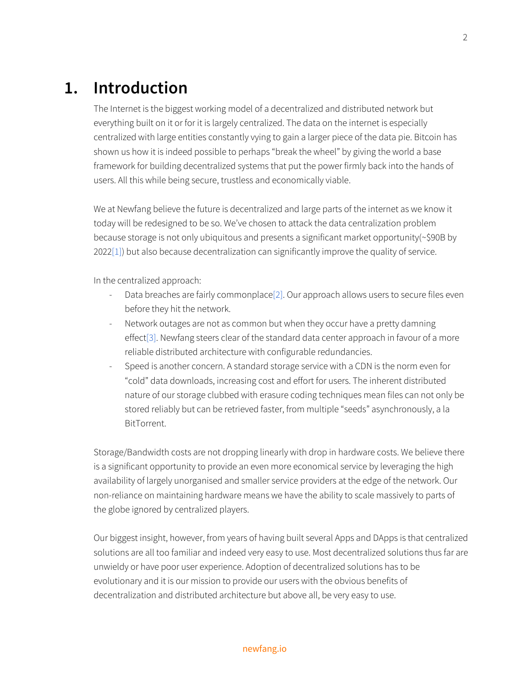# <span id="page-2-0"></span>**1. Introduction**

The Internet is the biggest working model of a decentralized and distributed network but everything built on it or for it is largely centralized. The data on the internet is especially centralized with large entities constantly vying to gain a larger piece of the data pie. Bitcoin has shown us how it is indeed possible to perhaps "break the wheel" by giving the world a base framework for building decentralized systems that put the power firmly back into the hands of users. All this while being secure, trustless and economically viable.

We at Newfang believe the future is decentralized and large parts of the internet as we know it today will be redesigned to be so. We've chosen to attack the data centralization problem because storage is not only ubiquitous and presents a significant market opportunity(~\$90B by 202[2\[1\]](#page-16-0)) but also because decentralization can significantly improve the quality of service.

In the centralized approach:

- Data breaches are fairly commonplace[\[2\]](#page-16-0). Our approach allows users to secure files even before they hit the network.
- Network outages are not as common but when they occur have a pretty damning effect[\[3\]](#page-16-0). Newfang steers clear of the standard data center approach in favour of a more reliable distributed architecture with configurable redundancies.
- Speed is another concern. A standard storage service with a CDN is the norm even for "cold" data downloads, increasing cost and effort for users. The inherent distributed nature of our storage clubbed with erasure coding techniques mean files can not only be stored reliably but can be retrieved faster, from multiple "seeds" asynchronously, a la BitTorrent.

Storage/Bandwidth costs are not dropping linearly with drop in hardware costs. We believe there is a significant opportunity to provide an even more economical service by leveraging the high availability of largely unorganised and smaller service providers at the edge of the network. Our non-reliance on maintaining hardware means we have the ability to scale massively to parts of the globe ignored by centralized players.

Our biggest insight, however, from years of having built several Apps and DApps is that centralized solutions are all too familiar and indeed very easy to use. Most decentralized solutions thus far are unwieldy or have poor user experience. Adoption of decentralized solutions has to be evolutionary and it is our mission to provide our users with the obvious benefits of decentralization and distributed architecture but above all, be very easy to use.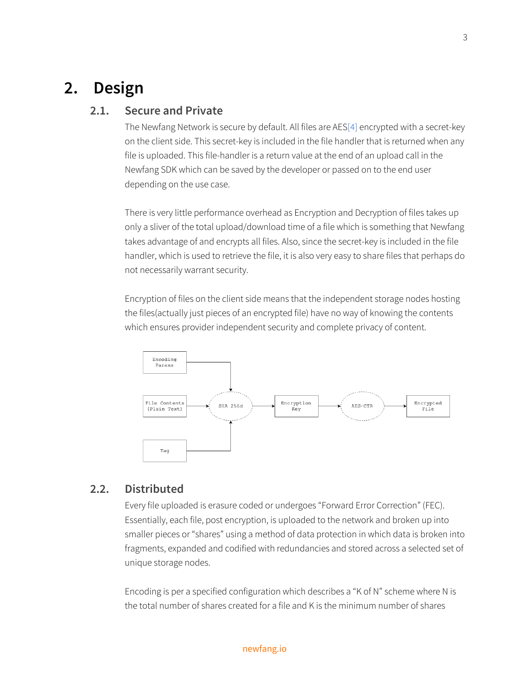# <span id="page-3-1"></span><span id="page-3-0"></span>**2. Design**

### **2.1. Secure and Private**

The Newfang Network is secure by default. All files are AES[\[4\]](#page-16-0) encrypted with a secret-key on the client side. This secret-key is included in the file handler that is returned when any file is uploaded. This file-handler is a return value at the end of an upload call in the Newfang SDK which can be saved by the developer or passed on to the end user depending on the use case.

There is very little performance overhead as Encryption and Decryption of files takes up only a sliver of the total upload/download time of a file which is something that Newfang takes advantage of and encrypts all files. Also, since the secret-key is included in the file handler, which is used to retrieve the file, it is also very easy to share files that perhaps do not necessarily warrant security.

Encryption of files on the client side means that the independent storage nodes hosting the files(actually just pieces of an encrypted file) have no way of knowing the contents which ensures provider independent security and complete privacy of content.



### <span id="page-3-2"></span>**2.2. Distributed**

Every file uploaded is erasure coded or undergoes "Forward Error Correction" (FEC). Essentially, each file, post encryption, is uploaded to the network and broken up into smaller pieces or "shares" using a method of data protection in which data is broken into fragments, expanded and codified with redundancies and stored across a selected set of unique storage nodes.

Encoding is per a specified configuration which describes a "K of N" scheme where N is the total number of shares created for a file and K is the minimum number of shares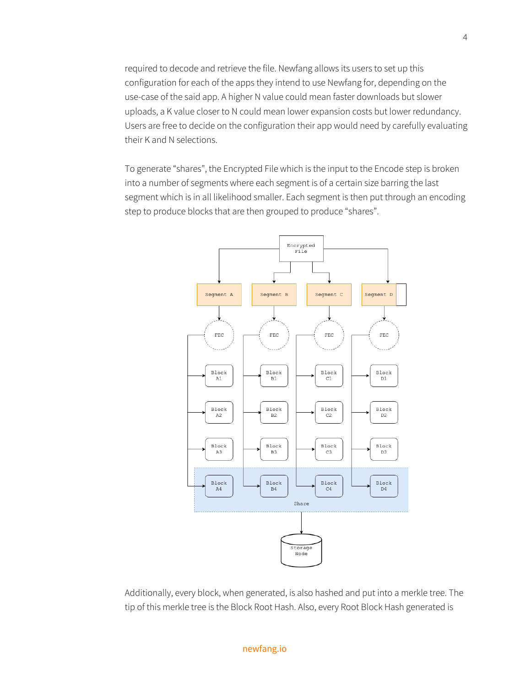required to decode and retrieve the file. Newfang allows its users to set up this configuration for each of the apps they intend to use Newfang for, depending on the use-case of the said app. A higher N value could mean faster downloads but slower uploads, a K value closer to N could mean lower expansion costs but lower redundancy. Users are free to decide on the configuration their app would need by carefully evaluating their K and N selections.

To generate "shares", the Encrypted File which is the input to the Encode step is broken into a number of segments where each segment is of a certain size barring the last segment which is in all likelihood smaller. Each segment is then put through an encoding step to produce blocks that are then grouped to produce "shares".



Additionally, every block, when generated, is also hashed and put into a merkle tree. The tip of this merkle tree is the Block Root Hash. Also, every Root Block Hash generated is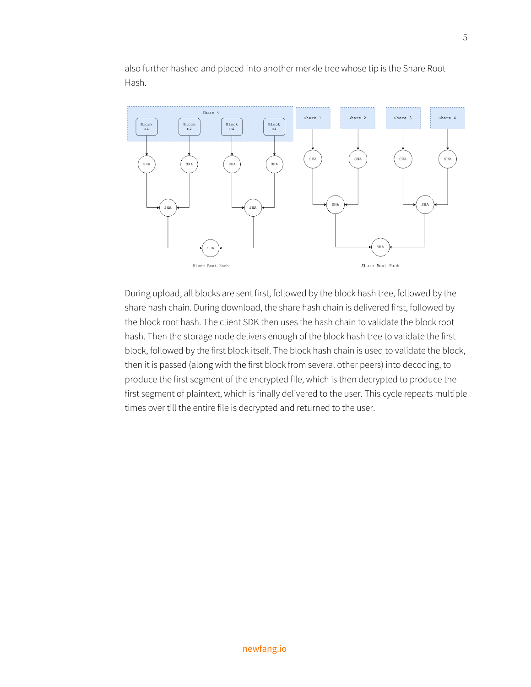Share 4 Share 4 Share 1 Share 2 Share 3  $\begin{array}{c} \text{Block} \\ \text{C4} \end{array}$  $_{\rm D4}^{\rm Block}$  $\begin{array}{c} \mathtt{Block} \\ \mathtt{A4} \end{array}$  $\begin{array}{c} \text{Block} \\ \text{B4} \end{array}$ SHA SHA SHA SHA SHA SHA SHA SHA SHA SHA SHA SHA SHA SHA Block Root Hash Share Root Hash

also further hashed and placed into another merkle tree whose tip is the Share Root Hash.

During upload, all blocks are sent first, followed by the block hash tree, followed by the share hash chain. During download, the share hash chain is delivered first, followed by the block root hash. The client SDK then uses the hash chain to validate the block root hash. Then the storage node delivers enough of the block hash tree to validate the first block, followed by the first block itself. The block hash chain is used to validate the block, then it is passed (along with the first block from several other peers) into decoding, to produce the first segment of the encrypted file, which is then decrypted to produce the first segment of plaintext, which is finally delivered to the user. This cycle repeats multiple times over till the entire file is decrypted and returned to the user.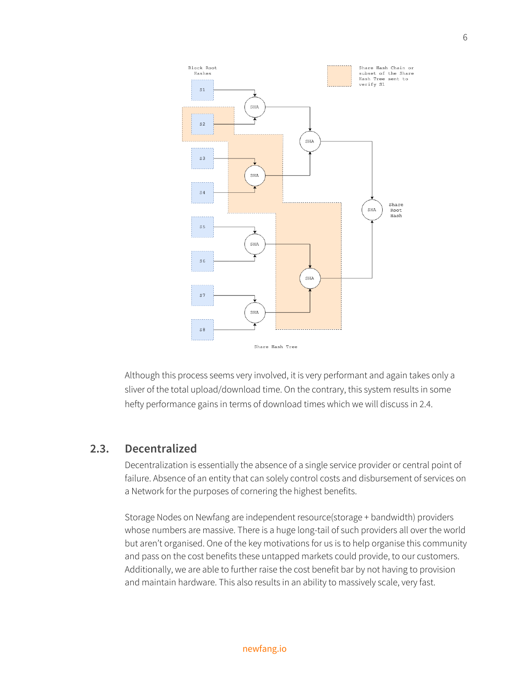

Although this process seems very involved, it is very performant and again takes only a sliver of the total upload/download time. On the contrary, this system results in some hefty performance gains in terms of download times which we will discuss in 2.4.

### <span id="page-6-0"></span>**2.3. Decentralized**

Decentralization is essentially the absence of a single service provider or central point of failure. Absence of an entity that can solely control costs and disbursement of services on a Network for the purposes of cornering the highest benefits.

Storage Nodes on Newfang are independent resource(storage + bandwidth) providers whose numbers are massive. There is a huge long-tail of such providers all over the world but aren't organised. One of the key motivations for us is to help organise this community and pass on the cost benefits these untapped markets could provide, to our customers. Additionally, we are able to further raise the cost benefit bar by not having to provision and maintain hardware. This also results in an ability to massively scale, very fast.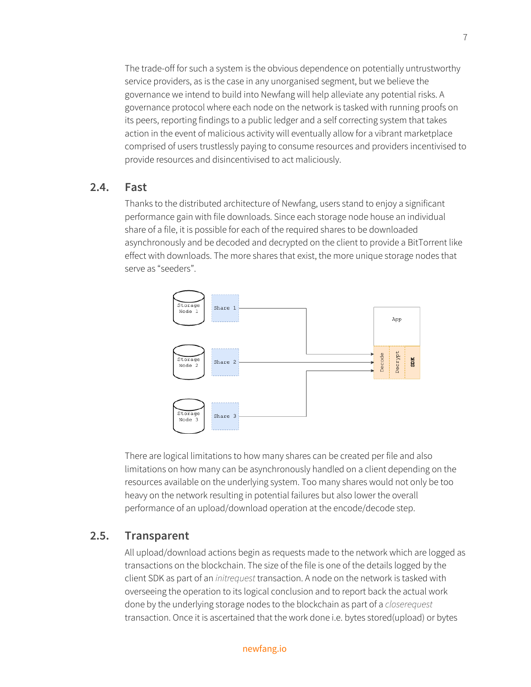The trade-off for such a system is the obvious dependence on potentially untrustworthy service providers, as is the case in any unorganised segment, but we believe the governance we intend to build into Newfang will help alleviate any potential risks. A governance protocol where each node on the network is tasked with running proofs on its peers, reporting findings to a public ledger and a self correcting system that takes action in the event of malicious activity will eventually allow for a vibrant marketplace comprised of users trustlessly paying to consume resources and providers incentivised to provide resources and disincentivised to act maliciously.

### <span id="page-7-0"></span>**2.4. Fast**

Thanks to the distributed architecture of Newfang, users stand to enjoy a significant performance gain with file downloads. Since each storage node house an individual share of a file, it is possible for each of the required shares to be downloaded asynchronously and be decoded and decrypted on the client to provide a BitTorrent like effect with downloads. The more shares that exist, the more unique storage nodes that serve as "seeders".



There are logical limitations to how many shares can be created per file and also limitations on how many can be asynchronously handled on a client depending on the resources available on the underlying system. Too many shares would not only be too heavy on the network resulting in potential failures but also lower the overall performance of an upload/download operation at the encode/decode step.

### <span id="page-7-1"></span>**2.5. Transparent**

All upload/download actions begin as requests made to the network which are logged as transactions on the blockchain. The size of the file is one of the details logged by the client SDK as part of an *initrequest* transaction. A node on the network is tasked with overseeing the operation to its logical conclusion and to report back the actual work done by the underlying storage nodes to the blockchain as part of a *closerequest* transaction. Once it is ascertained that the work done i.e. bytes stored(upload) or bytes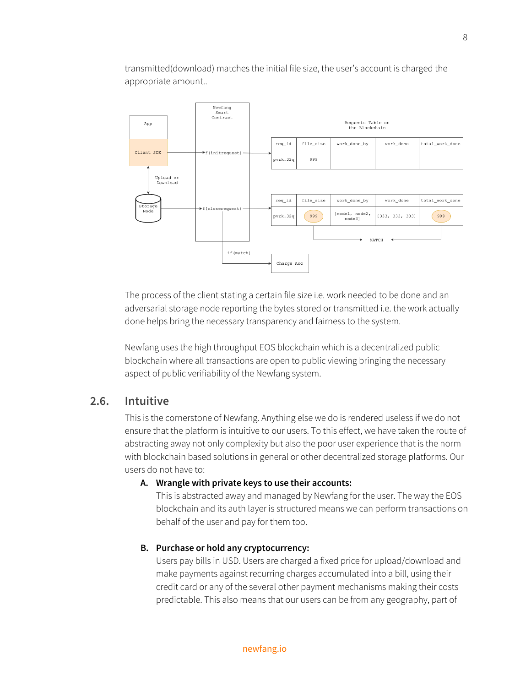transmitted(download) matches the initial file size, the user's account is charged the appropriate amount..



The process of the client stating a certain file size i.e. work needed to be done and an adversarial storage node reporting the bytes stored or transmitted i.e. the work actually done helps bring the necessary transparency and fairness to the system.

Newfang uses the high throughput EOS blockchain which is a decentralized public blockchain where all transactions are open to public viewing bringing the necessary aspect of public verifiability of the Newfang system.

### <span id="page-8-0"></span>**2.6. Intuitive**

This is the cornerstone of Newfang. Anything else we do is rendered useless if we do not ensure that the platform is intuitive to our users. To this effect, we have taken the route of abstracting away not only complexity but also the poor user experience that is the norm with blockchain based solutions in general or other decentralized storage platforms. Our users do not have to:

#### **A. Wrangle with private keys to use their accounts:**

This is abstracted away and managed by Newfang for the user. The way the EOS blockchain and its auth layer is structured means we can perform transactions on behalf of the user and pay for them too.

### **B. Purchase or hold any cryptocurrency:**

Users pay bills in USD. Users are charged a fixed price for upload/download and make payments against recurring charges accumulated into a bill, using their credit card or any of the several other payment mechanisms making their costs predictable. This also means that our users can be from any geography, part of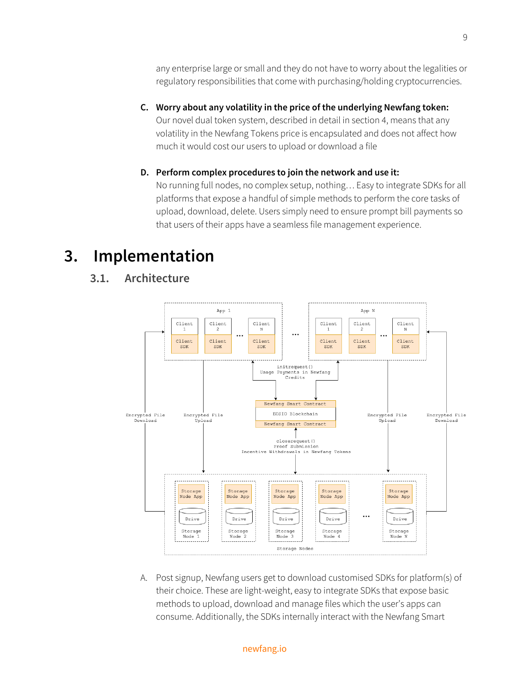any enterprise large or small and they do not have to worry about the legalities or regulatory responsibilities that come with purchasing/holding cryptocurrencies.

**C. Worry about any volatility in the price of the underlying Newfang token:** Our novel dual token system, described in detail in section 4, means that any volatility in the Newfang Tokens price is encapsulated and does not affect how much it would cost our users to upload or download a file

### **D. Perform complex procedures to join the network and use it:**

No running full nodes, no complex setup, nothing… Easy to integrate SDKs for all platforms that expose a handful of simple methods to perform the core tasks of upload, download, delete. Users simply need to ensure prompt bill payments so that users of their apps have a seamless file management experience.

# <span id="page-9-1"></span><span id="page-9-0"></span>**3. Implementation**

### **3.1. Architecture**



A. Post signup, Newfang users get to download customised SDKs for platform(s) of their choice. These are light-weight, easy to integrate SDKs that expose basic methods to upload, download and manage files which the user's apps can consume. Additionally, the SDKs internally interact with the Newfang Smart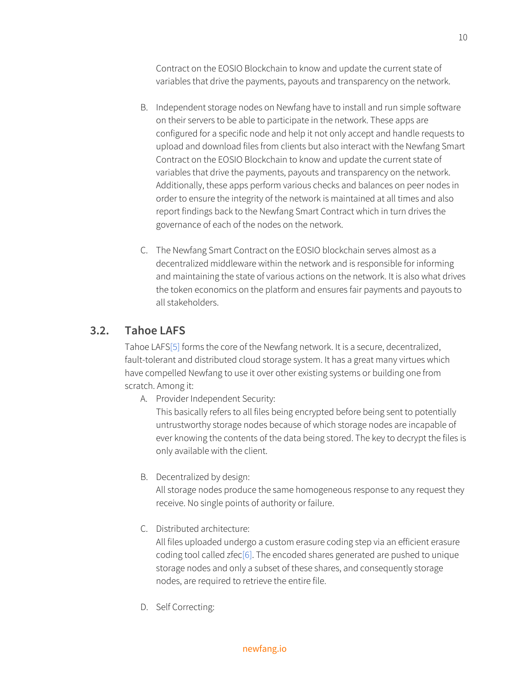Contract on the EOSIO Blockchain to know and update the current state of variables that drive the payments, payouts and transparency on the network.

- B. Independent storage nodes on Newfang have to install and run simple software on their servers to be able to participate in the network. These apps are configured for a specific node and help it not only accept and handle requests to upload and download files from clients but also interact with the Newfang Smart Contract on the EOSIO Blockchain to know and update the current state of variables that drive the payments, payouts and transparency on the network. Additionally, these apps perform various checks and balances on peer nodes in order to ensure the integrity of the network is maintained at all times and also report findings back to the Newfang Smart Contract which in turn drives the governance of each of the nodes on the network.
- C. The Newfang Smart Contract on the EOSIO blockchain serves almost as a decentralized middleware within the network and is responsible for informing and maintaining the state of various actions on the network. It is also what drives the token economics on the platform and ensures fair payments and payouts to all stakeholders.

## <span id="page-10-0"></span>**3.2. Tahoe LAFS**

Tahoe LAF[S\[5\]](#page-16-0) forms the core of the Newfang network. It is a secure, decentralized, fault-tolerant and distributed cloud storage system. It has a great many virtues which have compelled Newfang to use it over other existing systems or building one from scratch. Among it:

A. Provider Independent Security:

This basically refers to all files being encrypted before being sent to potentially untrustworthy storage nodes because of which storage nodes are incapable of ever knowing the contents of the data being stored. The key to decrypt the files is only available with the client.

B. Decentralized by design:

All storage nodes produce the same homogeneous response to any request they receive. No single points of authority or failure.

C. Distributed architecture:

All files uploaded undergo a custom erasure coding step via an efficient erasure coding tool called zfe[c\[6\].](#page-16-0) The encoded shares generated are pushed to unique storage nodes and only a subset of these shares, and consequently storage nodes, are required to retrieve the entire file.

D. Self Correcting: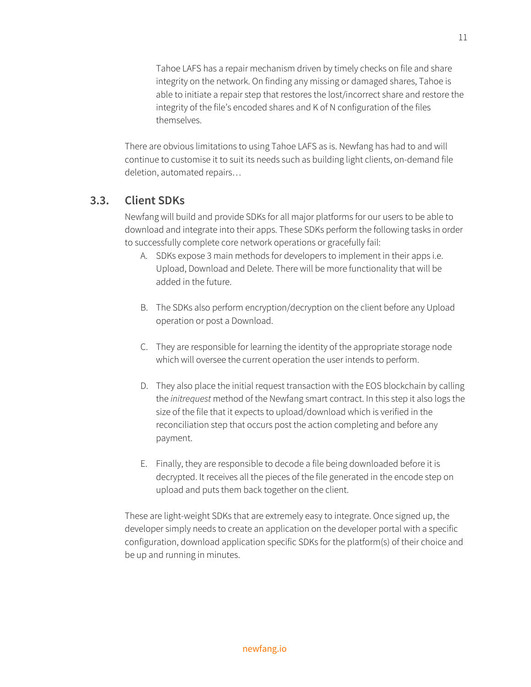Tahoe LAFS has a repair mechanism driven by timely checks on file and share integrity on the network. On finding any missing or damaged shares, Tahoe is able to initiate a repair step that restores the lost/incorrect share and restore the integrity of the file's encoded shares and K of N configuration of the files themselves.

There are obvious limitations to using Tahoe LAFS as is. Newfang has had to and will continue to customise it to suit its needs such as building light clients, on-demand file deletion, automated repairs…

### <span id="page-11-0"></span>**3.3. Client SDKs**

Newfang will build and provide SDKs for all major platforms for our users to be able to download and integrate into their apps. These SDKs perform the following tasks in order to successfully complete core network operations or gracefully fail:

- A. SDKs expose 3 main methods for developers to implement in their apps i.e. Upload, Download and Delete. There will be more functionality that will be added in the future.
- B. The SDKs also perform encryption/decryption on the client before any Upload operation or post a Download.
- C. They are responsible for learning the identity of the appropriate storage node which will oversee the current operation the user intends to perform.
- D. They also place the initial request transaction with the EOS blockchain by calling the *initrequest* method of the Newfang smart contract. In this step it also logs the size of the file that it expects to upload/download which is verified in the reconciliation step that occurs post the action completing and before any payment.
- E. Finally, they are responsible to decode a file being downloaded before it is decrypted. It receives all the pieces of the file generated in the encode step on upload and puts them back together on the client.

These are light-weight SDKs that are extremely easy to integrate. Once signed up, the developer simply needs to create an application on the developer portal with a specific configuration, download application specific SDKs for the platform(s) of their choice and be up and running in minutes.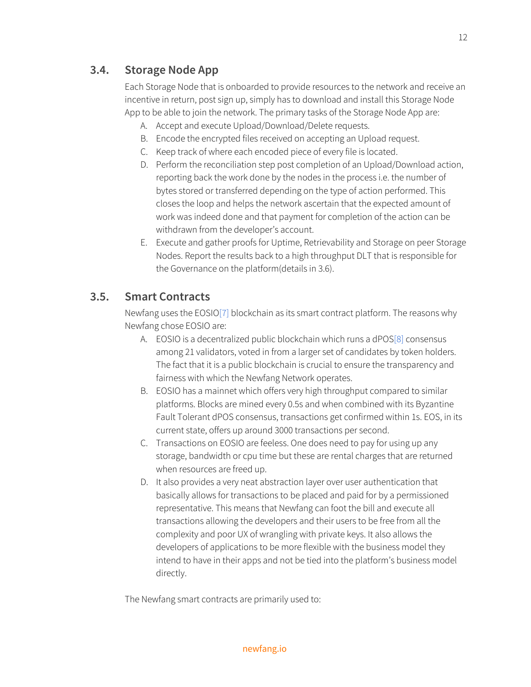# **3.4. Storage Node App**

Each Storage Node that is onboarded to provide resources to the network and receive an incentive in return, post sign up, simply has to download and install this Storage Node App to be able to join the network. The primary tasks of the Storage Node App are:

- A. Accept and execute Upload/Download/Delete requests.
- B. Encode the encrypted files received on accepting an Upload request.
- C. Keep track of where each encoded piece of every file is located.
- D. Perform the reconciliation step post completion of an Upload/Download action, reporting back the work done by the nodes in the process i.e. the number of bytes stored or transferred depending on the type of action performed. This closes the loop and helps the network ascertain that the expected amount of work was indeed done and that payment for completion of the action can be withdrawn from the developer's account.
- E. Execute and gather proofs for Uptime, Retrievability and Storage on peer Storage Nodes. Report the results back to a high throughput DLT that is responsible for the Governance on the platform(details in 3.6).

## <span id="page-12-0"></span>**3.5. Smart Contracts**

Newfang uses the EOSIO[\[7\]](#page-16-0) blockchain as its smart contract platform. The reasons why Newfang chose EOSIO are:

- A. EOSIO is a decentralized public blockchain which runs a dPO[S\[8\]](#page-16-0) consensus among 21 validators, voted in from a larger set of candidates by token holders. The fact that it is a public blockchain is crucial to ensure the transparency and fairness with which the Newfang Network operates.
- B. EOSIO has a mainnet which offers very high throughput compared to similar platforms. Blocks are mined every 0.5s and when combined with its Byzantine Fault Tolerant dPOS consensus, transactions get confirmed within 1s. EOS, in its current state, offers up around 3000 transactions per second.
- C. Transactions on EOSIO are feeless. One does need to pay for using up any storage, bandwidth or cpu time but these are rental charges that are returned when resources are freed up.
- D. It also provides a very neat abstraction layer over user authentication that basically allows for transactions to be placed and paid for by a permissioned representative. This means that Newfang can foot the bill and execute all transactions allowing the developers and their users to be free from all the complexity and poor UX of wrangling with private keys. It also allows the developers of applications to be more flexible with the business model they intend to have in their apps and not be tied into the platform's business model directly.

The Newfang smart contracts are primarily used to: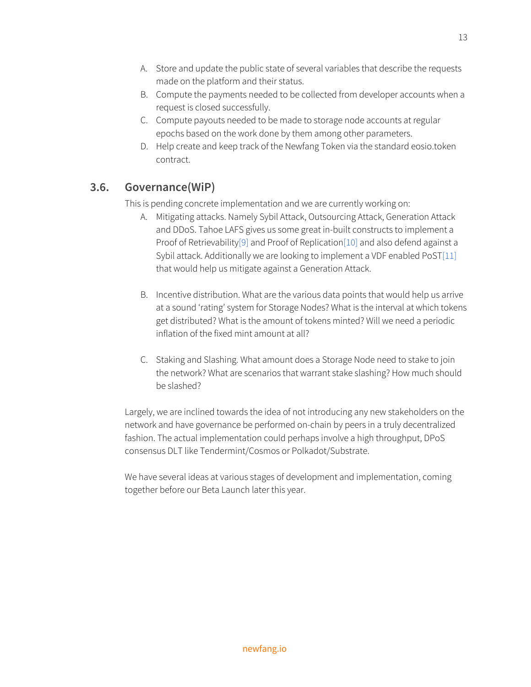- B. Compute the payments needed to be collected from developer accounts when a request is closed successfully.
- C. Compute payouts needed to be made to storage node accounts at regular epochs based on the work done by them among other parameters.
- D. Help create and keep track of the Newfang Token via the standard eosio.token contract.

# **3.6. Governance(WiP)**

This is pending concrete implementation and we are currently working on:

- A. Mitigating attacks. Namely Sybil Attack, Outsourcing Attack, Generation Attack and DDoS. Tahoe LAFS gives us some great in-built constructs to implement a Proof of Retrievability<sup>[9]</sup> and Proof of Replication<sup>[10]</sup> and also defend against a Sybil attack. Additionally we are looking to implement a VDF enabled PoS[T\[11\]](#page-16-0) that would help us mitigate against a Generation Attack.
- B. Incentive distribution. What are the various data points that would help us arrive at a sound 'rating' system for Storage Nodes? What is the interval at which tokens get distributed? What is the amount of tokens minted? Will we need a periodic inflation of the fixed mint amount at all?
- C. Staking and Slashing. What amount does a Storage Node need to stake to join the network? What are scenarios that warrant stake slashing? How much should be slashed?

Largely, we are inclined towards the idea of not introducing any new stakeholders on the network and have governance be performed on-chain by peers in a truly decentralized fashion. The actual implementation could perhaps involve a high throughput, DPoS consensus DLT like Tendermint/Cosmos or Polkadot/Substrate.

We have several ideas at various stages of development and implementation, coming together before our Beta Launch later this year.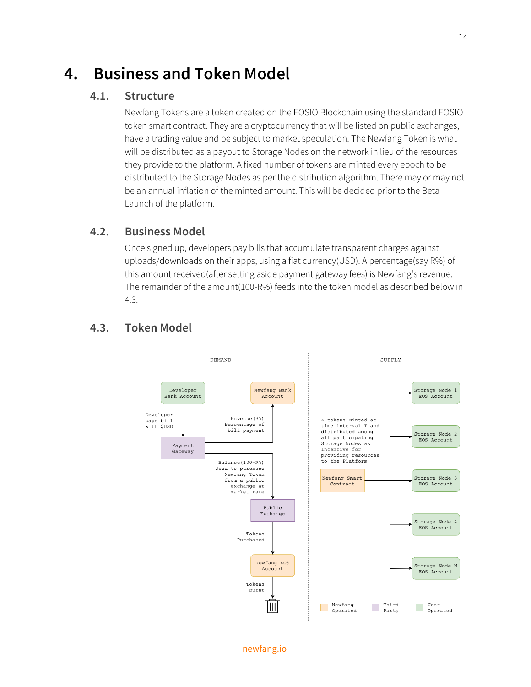# <span id="page-14-1"></span><span id="page-14-0"></span>**4. Business and Token Model**

### **4.1. Structure**

Newfang Tokens are a token created on the EOSIO Blockchain using the standard EOSIO token smart contract. They are a cryptocurrency that will be listed on public exchanges, have a trading value and be subject to market speculation. The Newfang Token is what will be distributed as a payout to Storage Nodes on the network in lieu of the resources they provide to the platform. A fixed number of tokens are minted every epoch to be distributed to the Storage Nodes as per the distribution algorithm. There may or may not be an annual inflation of the minted amount. This will be decided prior to the Beta Launch of the platform.

### <span id="page-14-2"></span>**4.2. Business Model**

Once signed up, developers pay bills that accumulate transparent charges against uploads/downloads on their apps, using a fiat currency(USD). A percentage(say R%) of this amount received(after setting aside payment gateway fees) is Newfang's revenue. The remainder of the amount(100-R%) feeds into the token model as described below in 4.3.



### <span id="page-14-3"></span>**4.3. Token Model**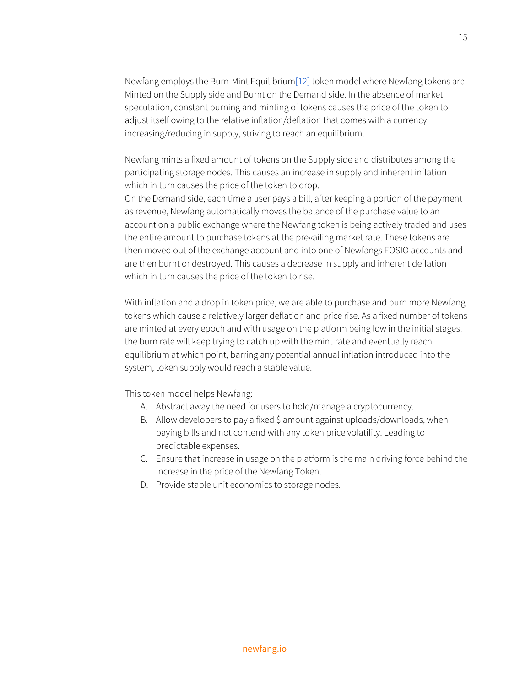Newfang employs the Burn-Mint Equilibriu[m\[12\]](#page-16-0) token model where Newfang tokens are Minted on the Supply side and Burnt on the Demand side. In the absence of market speculation, constant burning and minting of tokens causes the price of the token to adjust itself owing to the relative inflation/deflation that comes with a currency increasing/reducing in supply, striving to reach an equilibrium.

Newfang mints a fixed amount of tokens on the Supply side and distributes among the participating storage nodes. This causes an increase in supply and inherent inflation which in turn causes the price of the token to drop.

On the Demand side, each time a user pays a bill, after keeping a portion of the payment as revenue, Newfang automatically moves the balance of the purchase value to an account on a public exchange where the Newfang token is being actively traded and uses the entire amount to purchase tokens at the prevailing market rate. These tokens are then moved out of the exchange account and into one of Newfangs EOSIO accounts and are then burnt or destroyed. This causes a decrease in supply and inherent deflation which in turn causes the price of the token to rise.

With inflation and a drop in token price, we are able to purchase and burn more Newfang tokens which cause a relatively larger deflation and price rise. As a fixed number of tokens are minted at every epoch and with usage on the platform being low in the initial stages, the burn rate will keep trying to catch up with the mint rate and eventually reach equilibrium at which point, barring any potential annual inflation introduced into the system, token supply would reach a stable value.

This token model helps Newfang:

- A. Abstract away the need for users to hold/manage a cryptocurrency.
- B. Allow developers to pay a fixed \$ amount against uploads/downloads, when paying bills and not contend with any token price volatility. Leading to predictable expenses.
- C. Ensure that increase in usage on the platform is the main driving force behind the increase in the price of the Newfang Token.
- D. Provide stable unit economics to storage nodes.